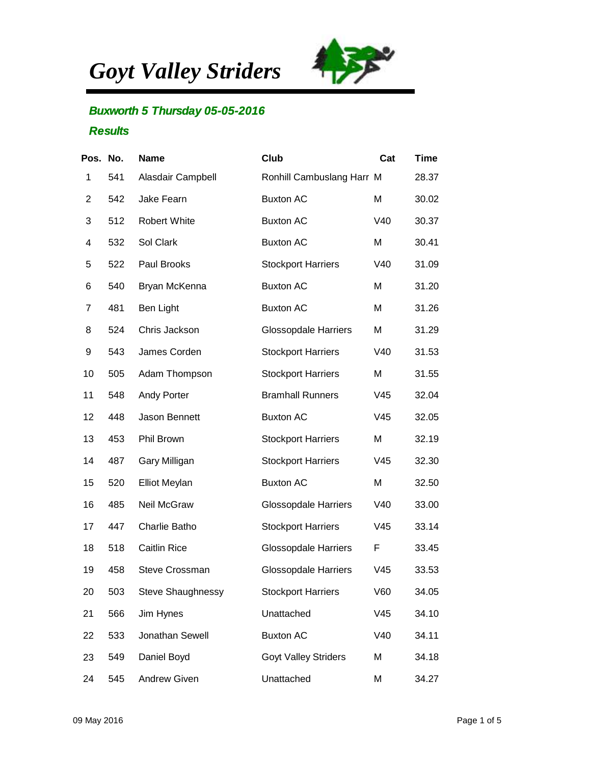*Goyt Valley Striders*



## **Buxworth 5 Thursday 05-05-2016 Results**

| Pos. No. |     | <b>Name</b>              | Club                        | Cat             | <b>Time</b> |
|----------|-----|--------------------------|-----------------------------|-----------------|-------------|
| 1        | 541 | Alasdair Campbell        | Ronhill Cambuslang Harr M   |                 | 28.37       |
| 2        | 542 | Jake Fearn               | <b>Buxton AC</b>            | Μ               | 30.02       |
| 3        | 512 | Robert White             | <b>Buxton AC</b>            | V40             | 30.37       |
| 4        | 532 | Sol Clark                | <b>Buxton AC</b>            | M               | 30.41       |
| 5        | 522 | Paul Brooks              | <b>Stockport Harriers</b>   | V40             | 31.09       |
| 6        | 540 | Bryan McKenna            | <b>Buxton AC</b>            | M               | 31.20       |
| 7        | 481 | Ben Light                | <b>Buxton AC</b>            | Μ               | 31.26       |
| 8        | 524 | Chris Jackson            | <b>Glossopdale Harriers</b> | M               | 31.29       |
| 9        | 543 | James Corden             | <b>Stockport Harriers</b>   | V40             | 31.53       |
| 10       | 505 | Adam Thompson            | <b>Stockport Harriers</b>   | M               | 31.55       |
| 11       | 548 | <b>Andy Porter</b>       | <b>Bramhall Runners</b>     | V45             | 32.04       |
| 12       | 448 | Jason Bennett            | <b>Buxton AC</b>            | V45             | 32.05       |
| 13       | 453 | Phil Brown               | <b>Stockport Harriers</b>   | M               | 32.19       |
| 14       | 487 | Gary Milligan            | <b>Stockport Harriers</b>   | V <sub>45</sub> | 32.30       |
| 15       | 520 | <b>Elliot Meylan</b>     | <b>Buxton AC</b>            | M               | 32.50       |
| 16       | 485 | Neil McGraw              | <b>Glossopdale Harriers</b> | V40             | 33.00       |
| 17       | 447 | Charlie Batho            | <b>Stockport Harriers</b>   | V45             | 33.14       |
| 18       | 518 | <b>Caitlin Rice</b>      | <b>Glossopdale Harriers</b> | F               | 33.45       |
| 19       | 458 | <b>Steve Crossman</b>    | <b>Glossopdale Harriers</b> | V45             | 33.53       |
| 20       | 503 | <b>Steve Shaughnessy</b> | <b>Stockport Harriers</b>   | V60             | 34.05       |
| 21       | 566 | Jim Hynes                | Unattached                  | V45             | 34.10       |
| 22       | 533 | Jonathan Sewell          | <b>Buxton AC</b>            | V40             | 34.11       |
| 23       | 549 | Daniel Boyd              | <b>Goyt Valley Striders</b> | M               | 34.18       |
| 24       | 545 | <b>Andrew Given</b>      | Unattached                  | М               | 34.27       |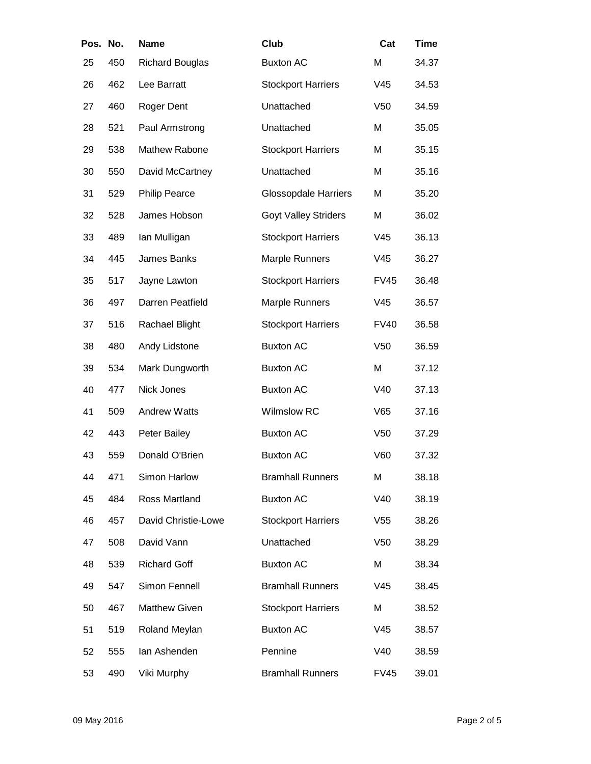| Pos. No. |     | <b>Name</b>            | Club                        | Cat             | <b>Time</b> |
|----------|-----|------------------------|-----------------------------|-----------------|-------------|
| 25       | 450 | <b>Richard Bouglas</b> | <b>Buxton AC</b>            | M               | 34.37       |
| 26       | 462 | Lee Barratt            | <b>Stockport Harriers</b>   | V45             | 34.53       |
| 27       | 460 | Roger Dent             | Unattached                  | V <sub>50</sub> | 34.59       |
| 28       | 521 | Paul Armstrong         | Unattached                  | M               | 35.05       |
| 29       | 538 | Mathew Rabone          | <b>Stockport Harriers</b>   | M               | 35.15       |
| 30       | 550 | David McCartney        | Unattached                  | M               | 35.16       |
| 31       | 529 | <b>Philip Pearce</b>   | <b>Glossopdale Harriers</b> | M               | 35.20       |
| 32       | 528 | James Hobson           | <b>Goyt Valley Striders</b> | M               | 36.02       |
| 33       | 489 | lan Mulligan           | <b>Stockport Harriers</b>   | V45             | 36.13       |
| 34       | 445 | James Banks            | Marple Runners              | V45             | 36.27       |
| 35       | 517 | Jayne Lawton           | <b>Stockport Harriers</b>   | <b>FV45</b>     | 36.48       |
| 36       | 497 | Darren Peatfield       | Marple Runners              | V45             | 36.57       |
| 37       | 516 | Rachael Blight         | <b>Stockport Harriers</b>   | <b>FV40</b>     | 36.58       |
| 38       | 480 | Andy Lidstone          | <b>Buxton AC</b>            | V <sub>50</sub> | 36.59       |
| 39       | 534 | Mark Dungworth         | <b>Buxton AC</b>            | M               | 37.12       |
| 40       | 477 | Nick Jones             | <b>Buxton AC</b>            | V40             | 37.13       |
| 41       | 509 | <b>Andrew Watts</b>    | Wilmslow RC                 | V65             | 37.16       |
| 42       | 443 | Peter Bailey           | <b>Buxton AC</b>            | V <sub>50</sub> | 37.29       |
| 43       | 559 | Donald O'Brien         | <b>Buxton AC</b>            | V60             | 37.32       |
| 44       | 471 | Simon Harlow           | <b>Bramhall Runners</b>     | M               | 38.18       |
| 45       | 484 | Ross Martland          | <b>Buxton AC</b>            | V40             | 38.19       |
| 46       | 457 | David Christie-Lowe    | <b>Stockport Harriers</b>   | V <sub>55</sub> | 38.26       |
| 47       | 508 | David Vann             | Unattached                  | V <sub>50</sub> | 38.29       |
| 48       | 539 | <b>Richard Goff</b>    | <b>Buxton AC</b>            | M               | 38.34       |
| 49       | 547 | Simon Fennell          | <b>Bramhall Runners</b>     | V <sub>45</sub> | 38.45       |
| 50       | 467 | Matthew Given          | <b>Stockport Harriers</b>   | Μ               | 38.52       |
| 51       | 519 | Roland Meylan          | <b>Buxton AC</b>            | V45             | 38.57       |
| 52       | 555 | lan Ashenden           | Pennine                     | V40             | 38.59       |
| 53       | 490 | Viki Murphy            | <b>Bramhall Runners</b>     | <b>FV45</b>     | 39.01       |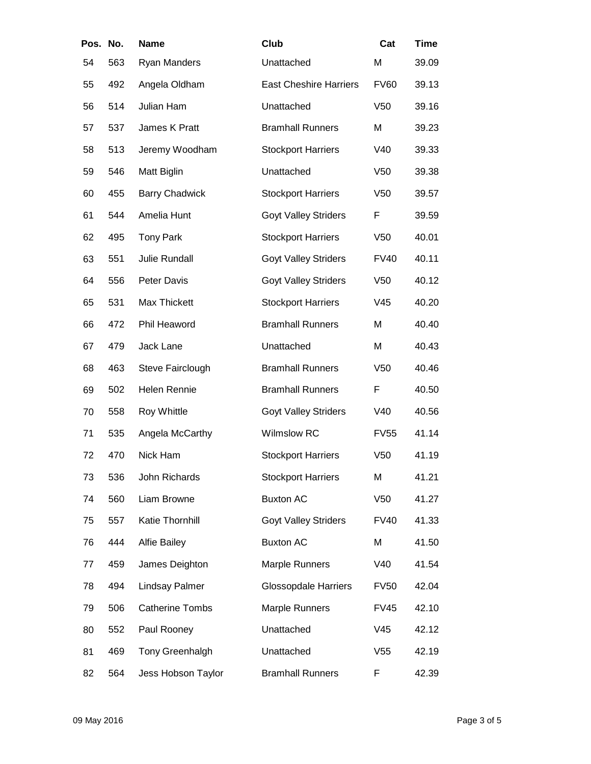| Pos. No. |     | <b>Name</b>            | Club                          | Cat             | <b>Time</b> |
|----------|-----|------------------------|-------------------------------|-----------------|-------------|
| 54       | 563 | Ryan Manders           | Unattached                    | M               | 39.09       |
| 55       | 492 | Angela Oldham          | <b>East Cheshire Harriers</b> | <b>FV60</b>     | 39.13       |
| 56       | 514 | Julian Ham             | Unattached                    | V <sub>50</sub> | 39.16       |
| 57       | 537 | James K Pratt          | <b>Bramhall Runners</b>       | M               | 39.23       |
| 58       | 513 | Jeremy Woodham         | <b>Stockport Harriers</b>     | V40             | 39.33       |
| 59       | 546 | Matt Biglin            | Unattached                    | V <sub>50</sub> | 39.38       |
| 60       | 455 | <b>Barry Chadwick</b>  | <b>Stockport Harriers</b>     | V <sub>50</sub> | 39.57       |
| 61       | 544 | Amelia Hunt            | <b>Goyt Valley Striders</b>   | F               | 39.59       |
| 62       | 495 | <b>Tony Park</b>       | <b>Stockport Harriers</b>     | V <sub>50</sub> | 40.01       |
| 63       | 551 | <b>Julie Rundall</b>   | <b>Goyt Valley Striders</b>   | <b>FV40</b>     | 40.11       |
| 64       | 556 | Peter Davis            | <b>Goyt Valley Striders</b>   | V <sub>50</sub> | 40.12       |
| 65       | 531 | Max Thickett           | <b>Stockport Harriers</b>     | V45             | 40.20       |
| 66       | 472 | Phil Heaword           | <b>Bramhall Runners</b>       | M               | 40.40       |
| 67       | 479 | Jack Lane              | Unattached                    | M               | 40.43       |
| 68       | 463 | Steve Fairclough       | <b>Bramhall Runners</b>       | V <sub>50</sub> | 40.46       |
| 69       | 502 | <b>Helen Rennie</b>    | <b>Bramhall Runners</b>       | F               | 40.50       |
| 70       | 558 | Roy Whittle            | <b>Goyt Valley Striders</b>   | V40             | 40.56       |
| 71       | 535 | Angela McCarthy        | <b>Wilmslow RC</b>            | <b>FV55</b>     | 41.14       |
| 72       | 470 | Nick Ham               | <b>Stockport Harriers</b>     | V <sub>50</sub> | 41.19       |
| 73       | 536 | John Richards          | <b>Stockport Harriers</b>     | M               | 41.21       |
| 74       | 560 | Liam Browne            | <b>Buxton AC</b>              | V <sub>50</sub> | 41.27       |
| 75       | 557 | Katie Thornhill        | <b>Goyt Valley Striders</b>   | <b>FV40</b>     | 41.33       |
| 76       | 444 | <b>Alfie Bailey</b>    | <b>Buxton AC</b>              | M               | 41.50       |
| 77       | 459 | James Deighton         | <b>Marple Runners</b>         | V40             | 41.54       |
| 78       | 494 | Lindsay Palmer         | <b>Glossopdale Harriers</b>   | <b>FV50</b>     | 42.04       |
| 79       | 506 | <b>Catherine Tombs</b> | <b>Marple Runners</b>         | <b>FV45</b>     | 42.10       |
| 80       | 552 | Paul Rooney            | Unattached                    | V <sub>45</sub> | 42.12       |
| 81       | 469 | Tony Greenhalgh        | Unattached                    | V <sub>55</sub> | 42.19       |
| 82       | 564 | Jess Hobson Taylor     | <b>Bramhall Runners</b>       | F               | 42.39       |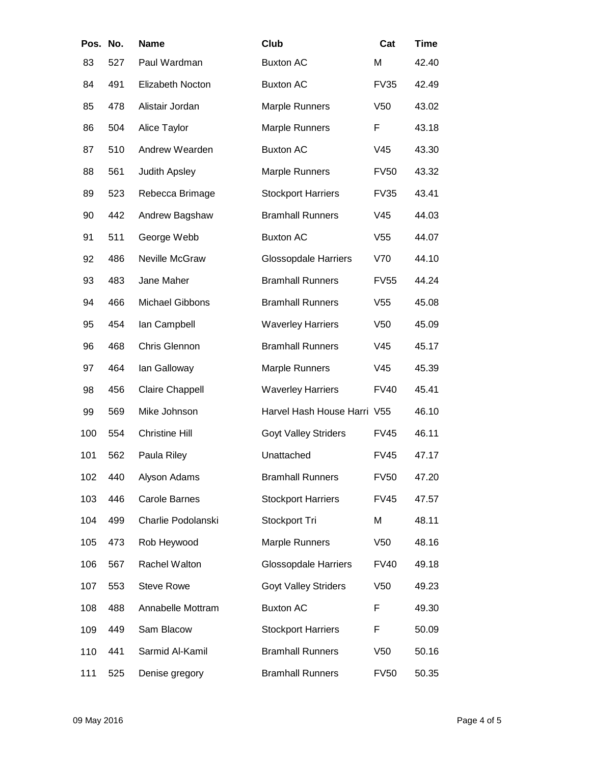| Pos. No. |     | <b>Name</b>            | Club                        | Cat             | <b>Time</b> |
|----------|-----|------------------------|-----------------------------|-----------------|-------------|
| 83       | 527 | Paul Wardman           | <b>Buxton AC</b>            | M               | 42.40       |
| 84       | 491 | Elizabeth Nocton       | <b>Buxton AC</b>            | <b>FV35</b>     | 42.49       |
| 85       | 478 | Alistair Jordan        | <b>Marple Runners</b>       | V <sub>50</sub> | 43.02       |
| 86       | 504 | Alice Taylor           | <b>Marple Runners</b>       | F               | 43.18       |
| 87       | 510 | Andrew Wearden         | <b>Buxton AC</b>            | V <sub>45</sub> | 43.30       |
| 88       | 561 | Judith Apsley          | <b>Marple Runners</b>       | <b>FV50</b>     | 43.32       |
| 89       | 523 | Rebecca Brimage        | <b>Stockport Harriers</b>   | <b>FV35</b>     | 43.41       |
| 90       | 442 | Andrew Bagshaw         | <b>Bramhall Runners</b>     | V <sub>45</sub> | 44.03       |
| 91       | 511 | George Webb            | <b>Buxton AC</b>            | V <sub>55</sub> | 44.07       |
| 92       | 486 | Neville McGraw         | <b>Glossopdale Harriers</b> | V70             | 44.10       |
| 93       | 483 | Jane Maher             | <b>Bramhall Runners</b>     | <b>FV55</b>     | 44.24       |
| 94       | 466 | <b>Michael Gibbons</b> | <b>Bramhall Runners</b>     | V <sub>55</sub> | 45.08       |
| 95       | 454 | lan Campbell           | <b>Waverley Harriers</b>    | V <sub>50</sub> | 45.09       |
| 96       | 468 | Chris Glennon          | <b>Bramhall Runners</b>     | V45             | 45.17       |
| 97       | 464 | lan Galloway           | <b>Marple Runners</b>       | V45             | 45.39       |
| 98       | 456 | <b>Claire Chappell</b> | <b>Waverley Harriers</b>    | <b>FV40</b>     | 45.41       |
| 99       | 569 | Mike Johnson           | Harvel Hash House Harri V55 |                 | 46.10       |
| 100      | 554 | <b>Christine Hill</b>  | <b>Goyt Valley Striders</b> | <b>FV45</b>     | 46.11       |
| 101      | 562 | Paula Riley            | Unattached                  | <b>FV45</b>     | 47.17       |
| 102      | 440 | Alyson Adams           | <b>Bramhall Runners</b>     | <b>FV50</b>     | 47.20       |
| 103      | 446 | Carole Barnes          | <b>Stockport Harriers</b>   | <b>FV45</b>     | 47.57       |
| 104      | 499 | Charlie Podolanski     | Stockport Tri               | M               | 48.11       |
| 105      | 473 | Rob Heywood            | <b>Marple Runners</b>       | V <sub>50</sub> | 48.16       |
| 106      | 567 | Rachel Walton          | <b>Glossopdale Harriers</b> | <b>FV40</b>     | 49.18       |
| 107      | 553 | <b>Steve Rowe</b>      | <b>Goyt Valley Striders</b> | V <sub>50</sub> | 49.23       |
| 108      | 488 | Annabelle Mottram      | <b>Buxton AC</b>            | F               | 49.30       |
| 109      | 449 | Sam Blacow             | <b>Stockport Harriers</b>   | F               | 50.09       |
| 110      | 441 | Sarmid Al-Kamil        | <b>Bramhall Runners</b>     | V <sub>50</sub> | 50.16       |
| 111      | 525 | Denise gregory         | <b>Bramhall Runners</b>     | <b>FV50</b>     | 50.35       |